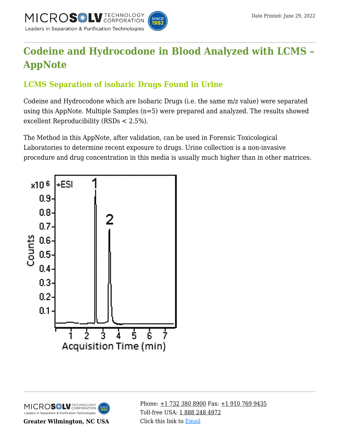

# **[Codeine and Hydrocodone in Blood Analyzed with LCMS –](https://kb.mtc-usa.com/article/aa-02474/46/) [AppNote](https://kb.mtc-usa.com/article/aa-02474/46/)**

## **LCMS Separation of isobaric Drugs Found in Urine**

Codeine and Hydrocodone which are Isobaric Drugs (i.e. the same m/z value) were separated using this AppNote. Multiple Samples (n=5) were prepared and analyzed. The results showed excellent Reproducibility (RSDs < 2.5%).

The Method in this AppNote, after validation, can be used in Forensic Toxicological Laboratories to determine recent exposure to drugs. Urine collection is a non-invasive procedure and drug concentration in this media is usually much higher than in other matrices.





**Greater Wilmington, NC USA**

Phone:  $\pm$ 1 732 380 8900 Fax:  $\pm$ 1 910 769 9435 Toll-free USA: [1 888 248 4972](#page--1-0) Click this link to [Email](https://www.mtc-usa.com/contact)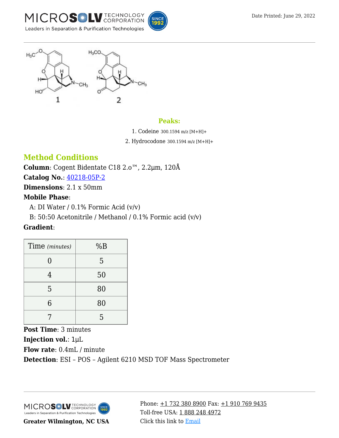





#### **Peaks:**

1. Codeine 300.1594 m/z [M+H]+

2. Hydrocodone 300.1594 m/z [M+H]+

## **Method Conditions**

**Column**: Cogent Bidentate C18 2.o™, 2.2μm, 120Å

**Catalog No.**: [40218-05P-2](https://kb.mtc-usa.com/product-details/id/4115510)

**Dimensions**: 2.1 x 50mm

#### **Mobile Phase**:

A: DI Water /  $0.1\%$  Formic Acid (v/v)

B: 50:50 Acetonitrile / Methanol / 0.1% Formic acid  $(v/v)$ 

### **Gradient**:

| Time (minutes) | %B |
|----------------|----|
| 0              | 5  |
| 4              | 50 |
| 5              | 80 |
| 6              | 80 |
|                | 5  |

**Post Time**: 3 minutes **Injection vol.**: 1μL **Flow rate**: 0.4mL / minute **Detection**: ESI – POS – Agilent 6210 MSD TOF Mass Spectrometer



**Greater Wilmington, NC USA**

Phone:  $\pm$ 1 732 380 8900 Fax:  $\pm$ 1 910 769 9435 Toll-free USA: [1 888 248 4972](#page--1-0) Click this link to [Email](https://www.mtc-usa.com/contact)